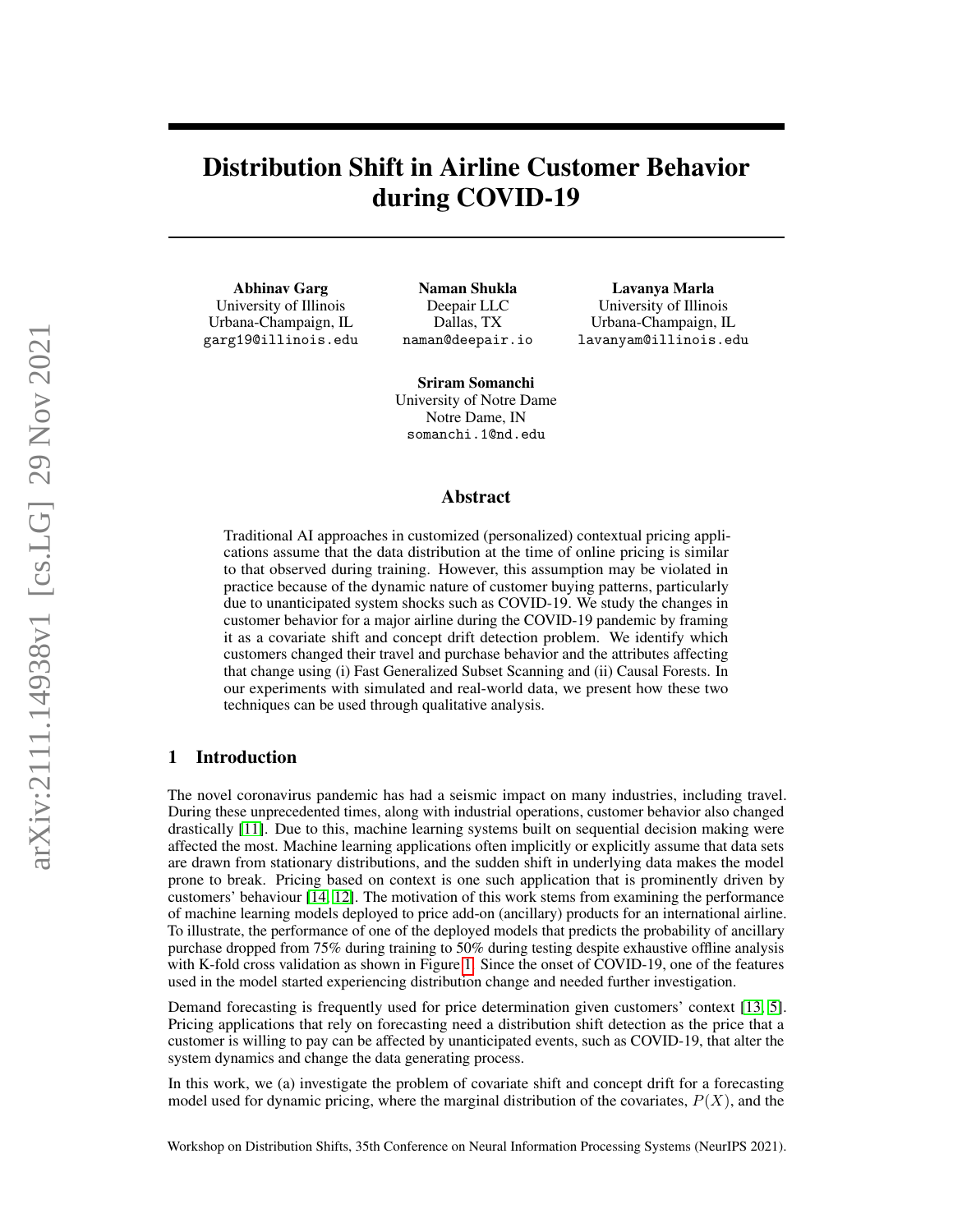# Distribution Shift in Airline Customer Behavior during COVID-19

Abhinav Garg University of Illinois

Urbana-Champaign, IL garg19@illinois.edu

Naman Shukla Deepair LLC Dallas, TX naman@deepair.io

Lavanya Marla University of Illinois Urbana-Champaign, IL lavanyam@illinois.edu

Sriram Somanchi University of Notre Dame Notre Dame, IN somanchi.1@nd.edu

## Abstract

Traditional AI approaches in customized (personalized) contextual pricing applications assume that the data distribution at the time of online pricing is similar to that observed during training. However, this assumption may be violated in practice because of the dynamic nature of customer buying patterns, particularly due to unanticipated system shocks such as COVID-19. We study the changes in customer behavior for a major airline during the COVID-19 pandemic by framing it as a covariate shift and concept drift detection problem. We identify which customers changed their travel and purchase behavior and the attributes affecting that change using (i) Fast Generalized Subset Scanning and (ii) Causal Forests. In our experiments with simulated and real-world data, we present how these two techniques can be used through qualitative analysis.

## 1 Introduction

The novel coronavirus pandemic has had a seismic impact on many industries, including travel. During these unprecedented times, along with industrial operations, customer behavior also changed drastically [\[11\]](#page-4-0). Due to this, machine learning systems built on sequential decision making were affected the most. Machine learning applications often implicitly or explicitly assume that data sets are drawn from stationary distributions, and the sudden shift in underlying data makes the model prone to break. Pricing based on context is one such application that is prominently driven by customers' behaviour [\[14,](#page-4-1) [12\]](#page-4-2). The motivation of this work stems from examining the performance of machine learning models deployed to price add-on (ancillary) products for an international airline. To illustrate, the performance of one of the deployed models that predicts the probability of ancillary purchase dropped from 75% during training to 50% during testing despite exhaustive offline analysis with K-fold cross validation as shown in Figure [1.](#page-1-0) Since the onset of COVID-19, one of the features used in the model started experiencing distribution change and needed further investigation.

Demand forecasting is frequently used for price determination given customers' context [\[13,](#page-4-3) [5\]](#page-4-4). Pricing applications that rely on forecasting need a distribution shift detection as the price that a customer is willing to pay can be affected by unanticipated events, such as COVID-19, that alter the system dynamics and change the data generating process.

In this work, we (a) investigate the problem of covariate shift and concept drift for a forecasting model used for dynamic pricing, where the marginal distribution of the covariates,  $P(X)$ , and the

Workshop on Distribution Shifts, 35th Conference on Neural Information Processing Systems (NeurIPS 2021).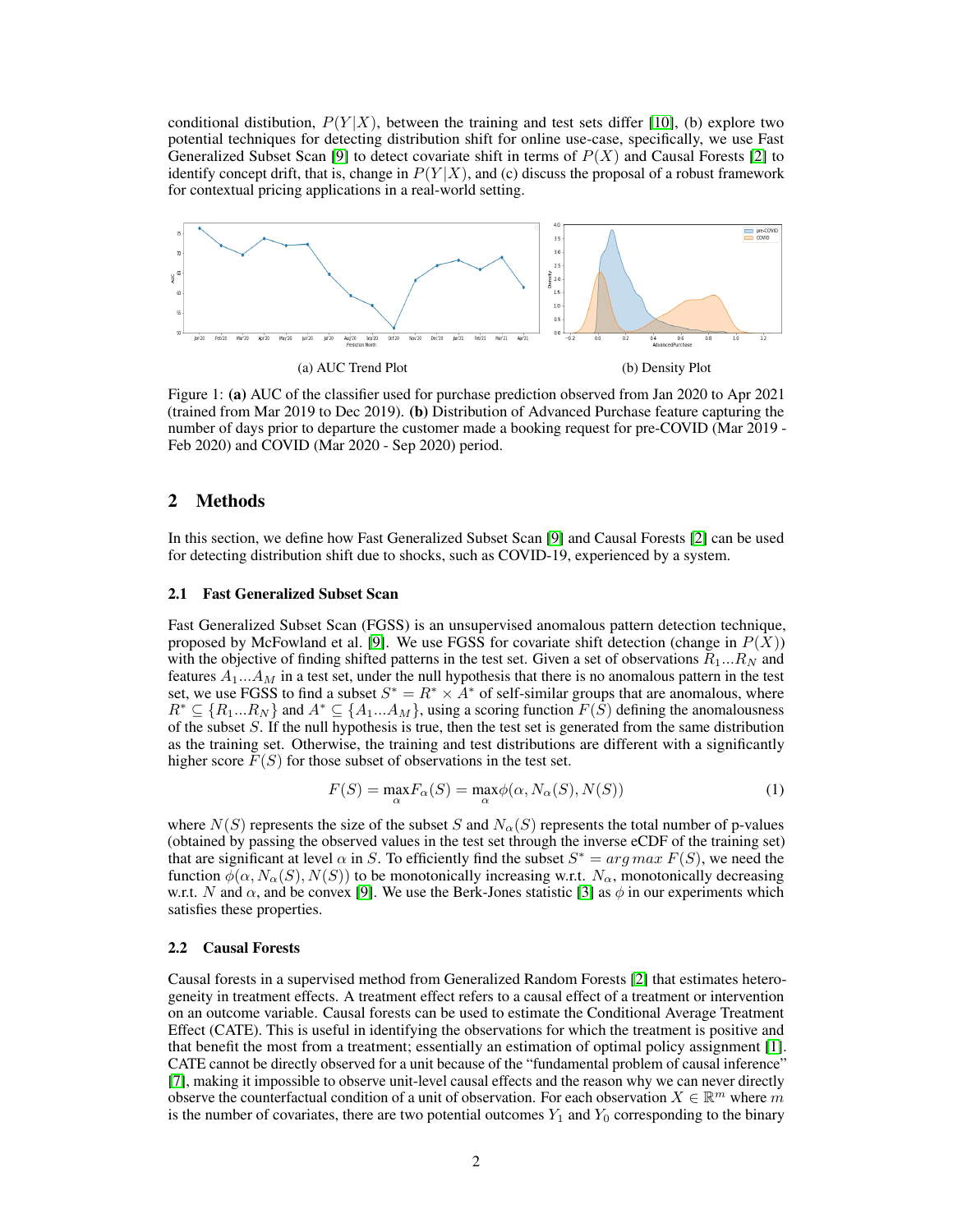conditional distibution,  $P(Y|X)$ , between the training and test sets differ [\[10\]](#page-4-5), (b) explore two potential techniques for detecting distribution shift for online use-case, specifically, we use Fast Generalized Subset Scan [\[9\]](#page-4-6) to detect covariate shift in terms of  $P(X)$  and Causal Forests [\[2\]](#page-4-7) to identify concept drift, that is, change in  $P(Y|X)$ , and (c) discuss the proposal of a robust framework for contextual pricing applications in a real-world setting.

<span id="page-1-0"></span>

Figure 1: (a) AUC of the classifier used for purchase prediction observed from Jan 2020 to Apr 2021 (trained from Mar 2019 to Dec 2019). (b) Distribution of Advanced Purchase feature capturing the number of days prior to departure the customer made a booking request for pre-COVID (Mar 2019 - Feb 2020) and COVID (Mar 2020 - Sep 2020) period.

### 2 Methods

In this section, we define how Fast Generalized Subset Scan [\[9\]](#page-4-6) and Causal Forests [\[2\]](#page-4-7) can be used for detecting distribution shift due to shocks, such as COVID-19, experienced by a system.

#### 2.1 Fast Generalized Subset Scan

Fast Generalized Subset Scan (FGSS) is an unsupervised anomalous pattern detection technique, proposed by McFowland et al. [\[9\]](#page-4-6). We use FGSS for covariate shift detection (change in  $P(X)$ ) with the objective of finding shifted patterns in the test set. Given a set of observations  $R_1...R_N$  and features  $A_1...A_M$  in a test set, under the null hypothesis that there is no anomalous pattern in the test set, we use FGSS to find a subset  $S^* = R^* \times A^*$  of self-similar groups that are anomalous, where  $R^* \subseteq \{R_1...R_N\}$  and  $A^* \subseteq \{A_1...A_M\}$ , using a scoring function  $F(S)$  defining the anomalousness of the subset S. If the null hypothesis is true, then the test set is generated from the same distribution as the training set. Otherwise, the training and test distributions are different with a significantly higher score  $F(S)$  for those subset of observations in the test set.

$$
F(S) = \max_{\alpha} F_{\alpha}(S) = \max_{\alpha} \phi(\alpha, N_{\alpha}(S), N(S))
$$
\n(1)

where  $N(S)$  represents the size of the subset S and  $N_{\alpha}(S)$  represents the total number of p-values (obtained by passing the observed values in the test set through the inverse eCDF of the training set) that are significant at level  $\alpha$  in S. To efficiently find the subset  $S^* = arg max F(S)$ , we need the function  $\phi(\alpha, N_{\alpha}(S), N(S))$  to be monotonically increasing w.r.t.  $N_{\alpha}$ , monotonically decreasing w.r.t. N and  $\alpha$ , and be convex [\[9\]](#page-4-6). We use the Berk-Jones statistic [\[3\]](#page-4-8) as  $\phi$  in our experiments which satisfies these properties.

#### 2.2 Causal Forests

Causal forests in a supervised method from Generalized Random Forests [\[2\]](#page-4-7) that estimates heterogeneity in treatment effects. A treatment effect refers to a causal effect of a treatment or intervention on an outcome variable. Causal forests can be used to estimate the Conditional Average Treatment Effect (CATE). This is useful in identifying the observations for which the treatment is positive and that benefit the most from a treatment; essentially an estimation of optimal policy assignment [\[1\]](#page-4-9). CATE cannot be directly observed for a unit because of the "fundamental problem of causal inference" [\[7\]](#page-4-10), making it impossible to observe unit-level causal effects and the reason why we can never directly observe the counterfactual condition of a unit of observation. For each observation  $X \in \mathbb{R}^m$  where m is the number of covariates, there are two potential outcomes  $Y_1$  and  $Y_0$  corresponding to the binary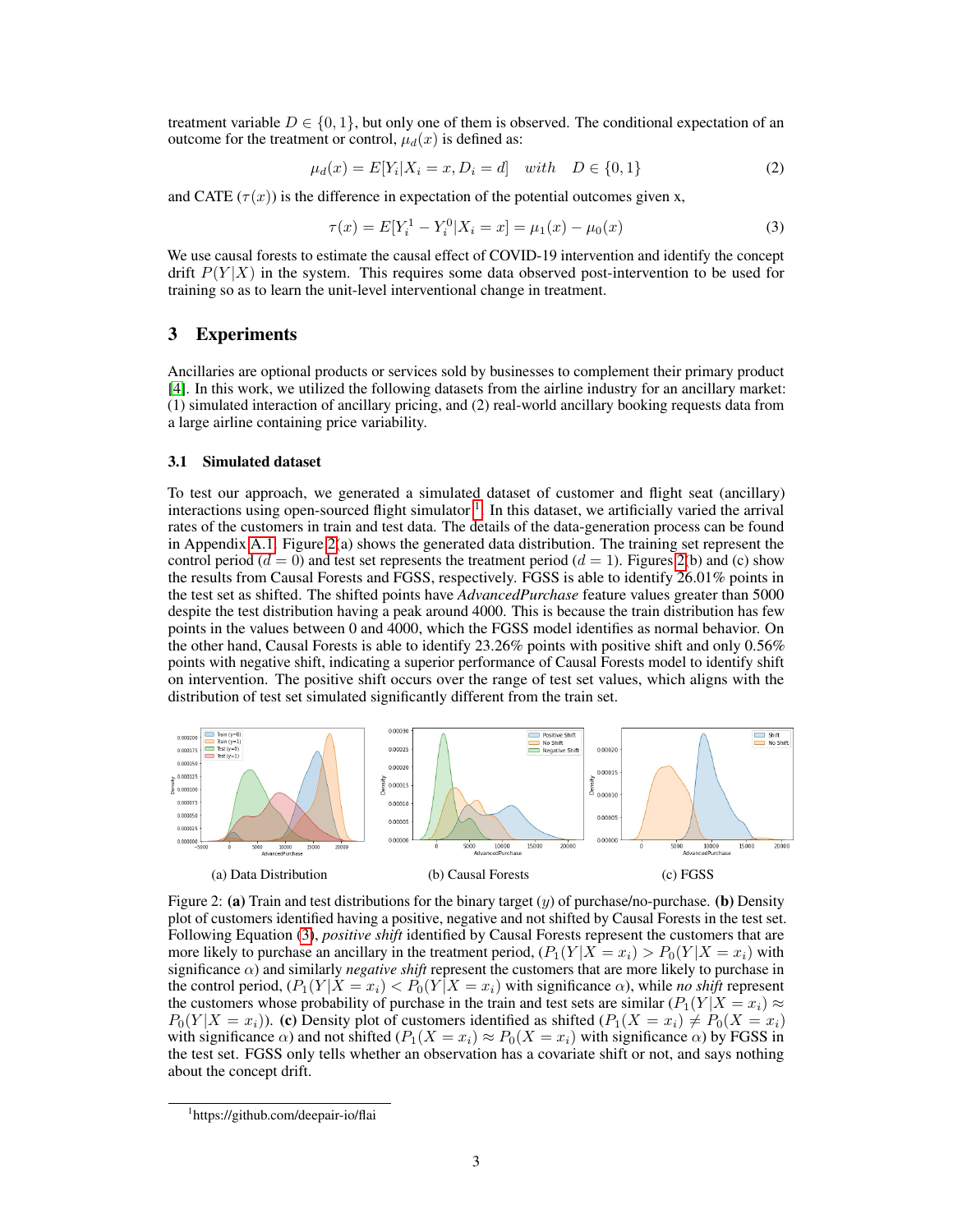treatment variable  $D \in \{0, 1\}$ , but only one of them is observed. The conditional expectation of an outcome for the treatment or control,  $\mu_d(x)$  is defined as:

$$
\mu_d(x) = E[Y_i | X_i = x, D_i = d] \quad with \quad D \in \{0, 1\} \tag{2}
$$

and CATE  $(\tau(x))$  is the difference in expectation of the potential outcomes given x,

<span id="page-2-2"></span>
$$
\tau(x) = E[Y_i^1 - Y_i^0 | X_i = x] = \mu_1(x) - \mu_0(x)
$$
\n(3)

We use causal forests to estimate the causal effect of COVID-19 intervention and identify the concept drift  $P(Y|X)$  in the system. This requires some data observed post-intervention to be used for training so as to learn the unit-level interventional change in treatment.

## 3 Experiments

Ancillaries are optional products or services sold by businesses to complement their primary product [\[4\]](#page-4-11). In this work, we utilized the following datasets from the airline industry for an ancillary market: (1) simulated interaction of ancillary pricing, and (2) real-world ancillary booking requests data from a large airline containing price variability.

#### 3.1 Simulated dataset

To test our approach, we generated a simulated dataset of customer and flight seat (ancillary) interactions using open-sourced flight simulator  $<sup>1</sup>$  $<sup>1</sup>$  $<sup>1</sup>$ . In this dataset, we artificially varied the arrival</sup> rates of the customers in train and test data. The details of the data-generation process can be found in Appendix [A.1.](#page-5-0) Figure [2\(](#page-2-1)a) shows the generated data distribution. The training set represent the control period ( $d = 0$ ) and test set represents the treatment period ( $d = 1$ ). Figures [2\(](#page-2-1)b) and (c) show the results from Causal Forests and FGSS, respectively. FGSS is able to identify 26.01% points in the test set as shifted. The shifted points have *AdvancedPurchase* feature values greater than 5000 despite the test distribution having a peak around 4000. This is because the train distribution has few points in the values between 0 and 4000, which the FGSS model identifies as normal behavior. On the other hand, Causal Forests is able to identify 23.26% points with positive shift and only 0.56% points with negative shift, indicating a superior performance of Causal Forests model to identify shift on intervention. The positive shift occurs over the range of test set values, which aligns with the distribution of test set simulated significantly different from the train set.

<span id="page-2-1"></span>

Figure 2: (a) Train and test distributions for the binary target  $(y)$  of purchase/no-purchase. (b) Density plot of customers identified having a positive, negative and not shifted by Causal Forests in the test set. Following Equation [\(3\)](#page-2-2), *positive shift* identified by Causal Forests represent the customers that are more likely to purchase an ancillary in the treatment period,  $(P_1(Y|X=x_i) > P_0(Y|X=x_i)$  with significance  $\alpha$ ) and similarly *negative shift* represent the customers that are more likely to purchase in the control period,  $(P_1(Y | X = x_i) < P_0(Y | X = x_i)$  with significance  $\alpha$ ), while *no shift* represent the customers whose probability of purchase in the train and test sets are similar  $(P_1(Y | X = x_i)) \approx$  $P_0(Y|X=x_i)$ ). (c) Density plot of customers identified as shifted  $(P_1(X=x_i) \neq P_0(X=x_i)$ with significance  $\alpha$ ) and not shifted  $(P_1(X = x_i) \approx P_0(X = x_i)$  with significance  $\alpha$ ) by FGSS in the test set. FGSS only tells whether an observation has a covariate shift or not, and says nothing about the concept drift.

<span id="page-2-0"></span><sup>1</sup> https://github.com/deepair-io/flai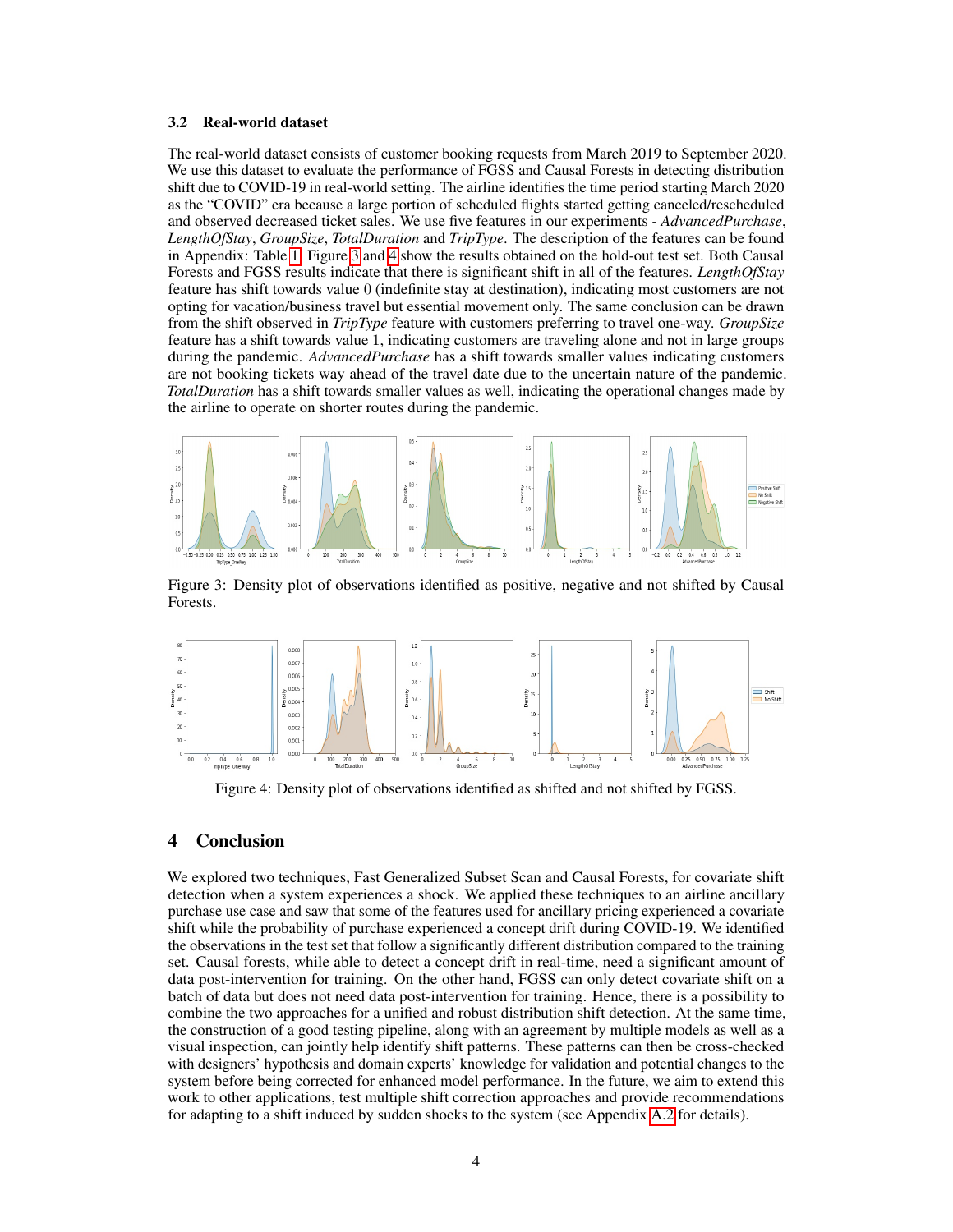#### <span id="page-3-2"></span>3.2 Real-world dataset

The real-world dataset consists of customer booking requests from March 2019 to September 2020. We use this dataset to evaluate the performance of FGSS and Causal Forests in detecting distribution shift due to COVID-19 in real-world setting. The airline identifies the time period starting March 2020 as the "COVID" era because a large portion of scheduled flights started getting canceled/rescheduled and observed decreased ticket sales. We use five features in our experiments - *AdvancedPurchase*, *LengthOfStay*, *GroupSize*, *TotalDuration* and *TripType*. The description of the features can be found in Appendix: Table [1.](#page-5-1) Figure [3](#page-3-0) and [4](#page-3-1) show the results obtained on the hold-out test set. Both Causal Forests and FGSS results indicate that there is significant shift in all of the features. *LengthOfStay* feature has shift towards value 0 (indefinite stay at destination), indicating most customers are not opting for vacation/business travel but essential movement only. The same conclusion can be drawn from the shift observed in *TripType* feature with customers preferring to travel one-way. *GroupSize* feature has a shift towards value 1, indicating customers are traveling alone and not in large groups during the pandemic. *AdvancedPurchase* has a shift towards smaller values indicating customers are not booking tickets way ahead of the travel date due to the uncertain nature of the pandemic. *TotalDuration* has a shift towards smaller values as well, indicating the operational changes made by the airline to operate on shorter routes during the pandemic.

<span id="page-3-0"></span>

Figure 3: Density plot of observations identified as positive, negative and not shifted by Causal Forests.

<span id="page-3-1"></span>

Figure 4: Density plot of observations identified as shifted and not shifted by FGSS.

## 4 Conclusion

We explored two techniques, Fast Generalized Subset Scan and Causal Forests, for covariate shift detection when a system experiences a shock. We applied these techniques to an airline ancillary purchase use case and saw that some of the features used for ancillary pricing experienced a covariate shift while the probability of purchase experienced a concept drift during COVID-19. We identified the observations in the test set that follow a significantly different distribution compared to the training set. Causal forests, while able to detect a concept drift in real-time, need a significant amount of data post-intervention for training. On the other hand, FGSS can only detect covariate shift on a batch of data but does not need data post-intervention for training. Hence, there is a possibility to combine the two approaches for a unified and robust distribution shift detection. At the same time, the construction of a good testing pipeline, along with an agreement by multiple models as well as a visual inspection, can jointly help identify shift patterns. These patterns can then be cross-checked with designers' hypothesis and domain experts' knowledge for validation and potential changes to the system before being corrected for enhanced model performance. In the future, we aim to extend this work to other applications, test multiple shift correction approaches and provide recommendations for adapting to a shift induced by sudden shocks to the system (see Appendix [A.2](#page-5-2) for details).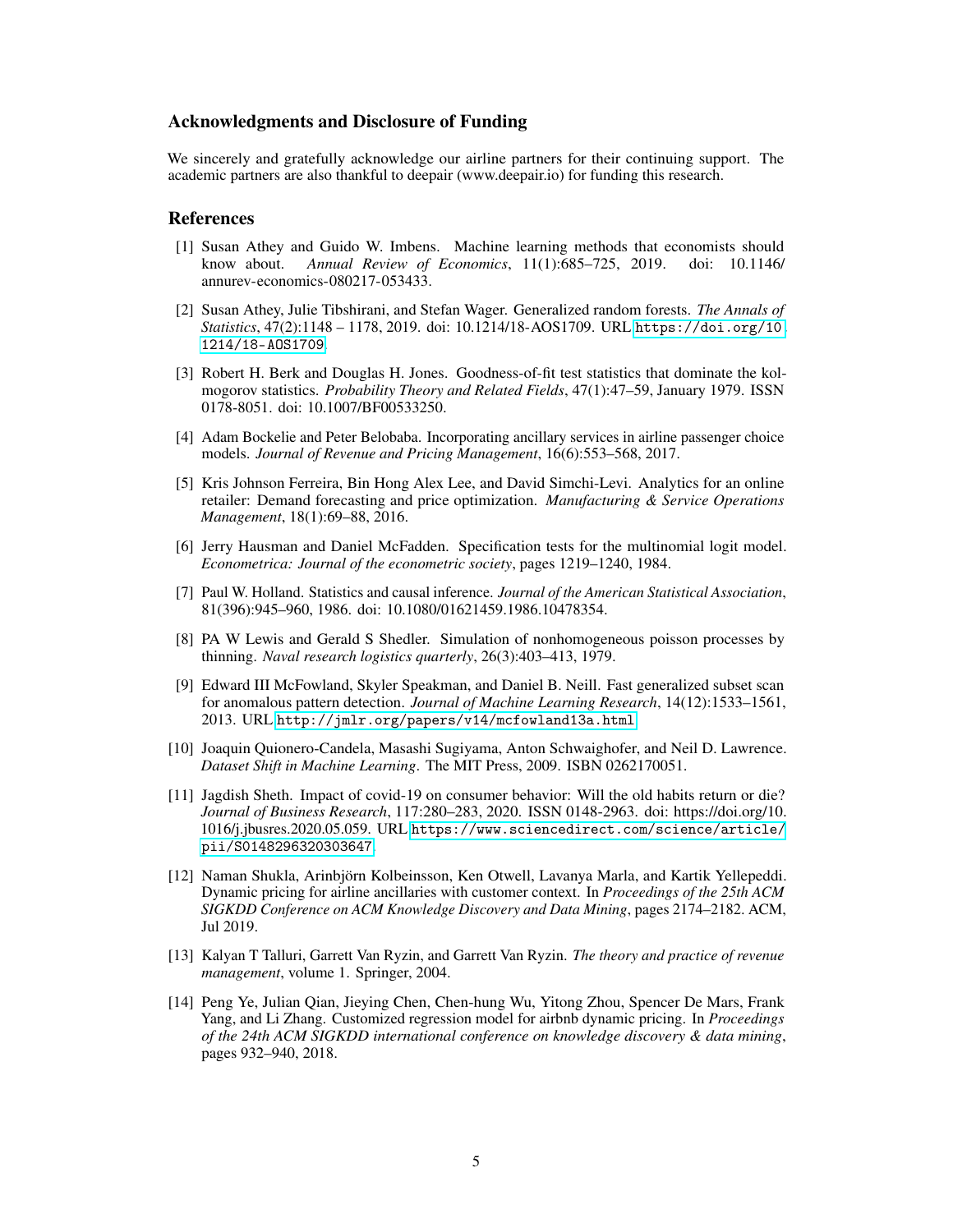## Acknowledgments and Disclosure of Funding

We sincerely and gratefully acknowledge our airline partners for their continuing support. The academic partners are also thankful to deepair (www.deepair.io) for funding this research.

#### References

- <span id="page-4-9"></span>[1] Susan Athey and Guido W. Imbens. Machine learning methods that economists should know about. *Annual Review of Economics*, 11(1):685–725, 2019. doi: 10.1146/ annurev-economics-080217-053433.
- <span id="page-4-7"></span>[2] Susan Athey, Julie Tibshirani, and Stefan Wager. Generalized random forests. *The Annals of Statistics*, 47(2):1148 – 1178, 2019. doi: 10.1214/18-AOS1709. URL [https://doi.org/10.](https://doi.org/10.1214/18-AOS1709) [1214/18-AOS1709](https://doi.org/10.1214/18-AOS1709).
- <span id="page-4-8"></span>[3] Robert H. Berk and Douglas H. Jones. Goodness-of-fit test statistics that dominate the kolmogorov statistics. *Probability Theory and Related Fields*, 47(1):47–59, January 1979. ISSN 0178-8051. doi: 10.1007/BF00533250.
- <span id="page-4-11"></span>[4] Adam Bockelie and Peter Belobaba. Incorporating ancillary services in airline passenger choice models. *Journal of Revenue and Pricing Management*, 16(6):553–568, 2017.
- <span id="page-4-4"></span>[5] Kris Johnson Ferreira, Bin Hong Alex Lee, and David Simchi-Levi. Analytics for an online retailer: Demand forecasting and price optimization. *Manufacturing & Service Operations Management*, 18(1):69–88, 2016.
- <span id="page-4-13"></span>[6] Jerry Hausman and Daniel McFadden. Specification tests for the multinomial logit model. *Econometrica: Journal of the econometric society*, pages 1219–1240, 1984.
- <span id="page-4-10"></span>[7] Paul W. Holland. Statistics and causal inference. *Journal of the American Statistical Association*, 81(396):945–960, 1986. doi: 10.1080/01621459.1986.10478354.
- <span id="page-4-12"></span>[8] PA W Lewis and Gerald S Shedler. Simulation of nonhomogeneous poisson processes by thinning. *Naval research logistics quarterly*, 26(3):403–413, 1979.
- <span id="page-4-6"></span>[9] Edward III McFowland, Skyler Speakman, and Daniel B. Neill. Fast generalized subset scan for anomalous pattern detection. *Journal of Machine Learning Research*, 14(12):1533–1561, 2013. URL <http://jmlr.org/papers/v14/mcfowland13a.html>.
- <span id="page-4-5"></span>[10] Joaquin Quionero-Candela, Masashi Sugiyama, Anton Schwaighofer, and Neil D. Lawrence. *Dataset Shift in Machine Learning*. The MIT Press, 2009. ISBN 0262170051.
- <span id="page-4-0"></span>[11] Jagdish Sheth. Impact of covid-19 on consumer behavior: Will the old habits return or die? *Journal of Business Research*, 117:280–283, 2020. ISSN 0148-2963. doi: https://doi.org/10. 1016/j.jbusres.2020.05.059. URL [https://www.sciencedirect.com/science/article/](https://www.sciencedirect.com/science/article/pii/S0148296320303647) [pii/S0148296320303647](https://www.sciencedirect.com/science/article/pii/S0148296320303647).
- <span id="page-4-2"></span>[12] Naman Shukla, Arinbjörn Kolbeinsson, Ken Otwell, Lavanya Marla, and Kartik Yellepeddi. Dynamic pricing for airline ancillaries with customer context. In *Proceedings of the 25th ACM SIGKDD Conference on ACM Knowledge Discovery and Data Mining*, pages 2174–2182. ACM, Jul 2019.
- <span id="page-4-3"></span>[13] Kalyan T Talluri, Garrett Van Ryzin, and Garrett Van Ryzin. *The theory and practice of revenue management*, volume 1. Springer, 2004.
- <span id="page-4-1"></span>[14] Peng Ye, Julian Qian, Jieying Chen, Chen-hung Wu, Yitong Zhou, Spencer De Mars, Frank Yang, and Li Zhang. Customized regression model for airbnb dynamic pricing. In *Proceedings of the 24th ACM SIGKDD international conference on knowledge discovery & data mining*, pages 932–940, 2018.